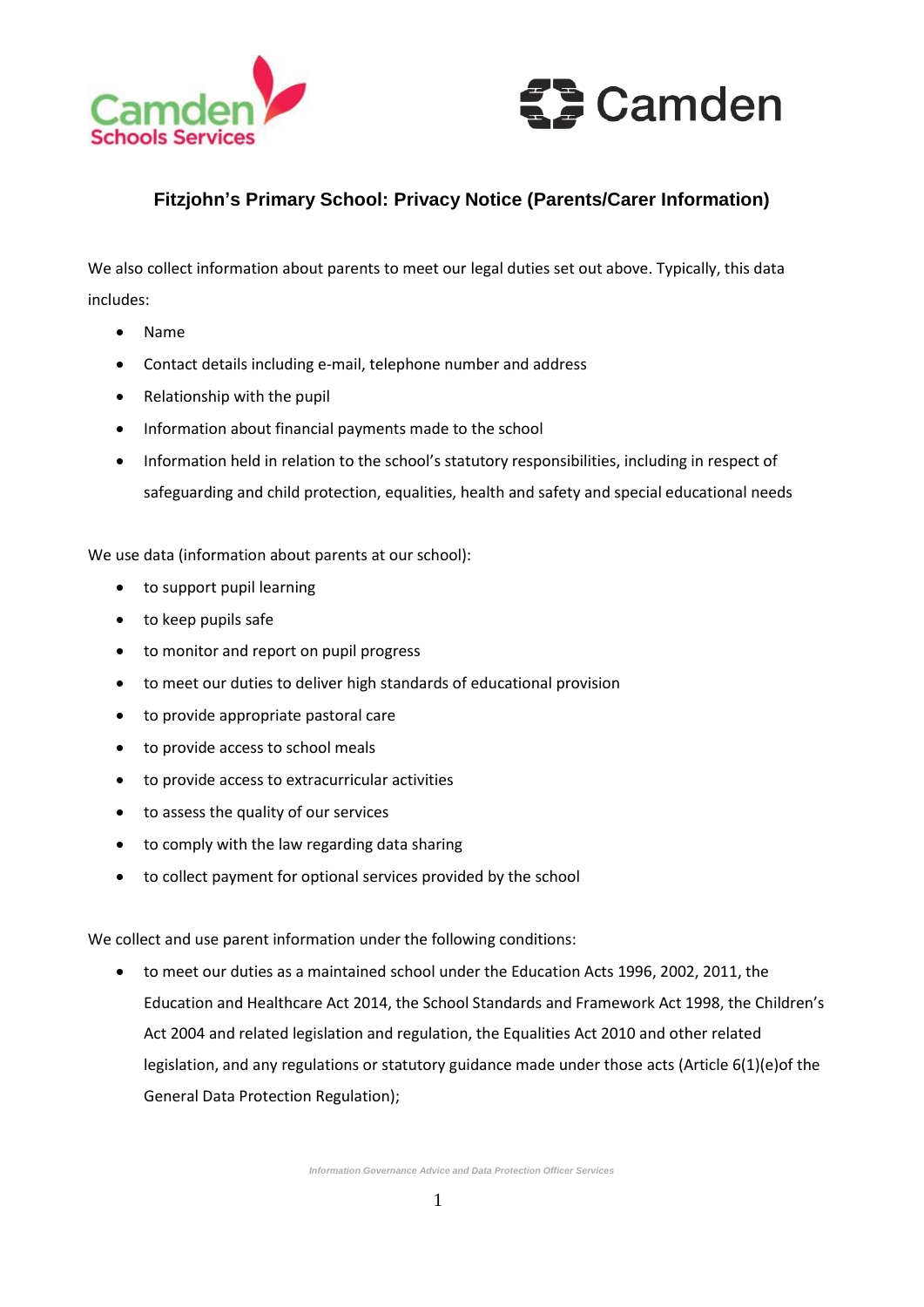



## **Fitzjohn's Primary School: Privacy Notice (Parents/Carer Information)**

We also collect information about parents to meet our legal duties set out above. Typically, this data includes:

- Name
- Contact details including e-mail, telephone number and address
- Relationship with the pupil
- Information about financial payments made to the school
- Information held in relation to the school's statutory responsibilities, including in respect of safeguarding and child protection, equalities, health and safety and special educational needs

We use data (information about parents at our school):

- to support pupil learning
- to keep pupils safe
- to monitor and report on pupil progress
- to meet our duties to deliver high standards of educational provision
- to provide appropriate pastoral care
- to provide access to school meals
- to provide access to extracurricular activities
- to assess the quality of our services
- to comply with the law regarding data sharing
- to collect payment for optional services provided by the school

We collect and use parent information under the following conditions:

 to meet our duties as a maintained school under the Education Acts 1996, 2002, 2011, the Education and Healthcare Act 2014, the School Standards and Framework Act 1998, the Children's Act 2004 and related legislation and regulation, the Equalities Act 2010 and other related legislation, and any regulations or statutory guidance made under those acts (Article 6(1)(e)of the General Data Protection Regulation);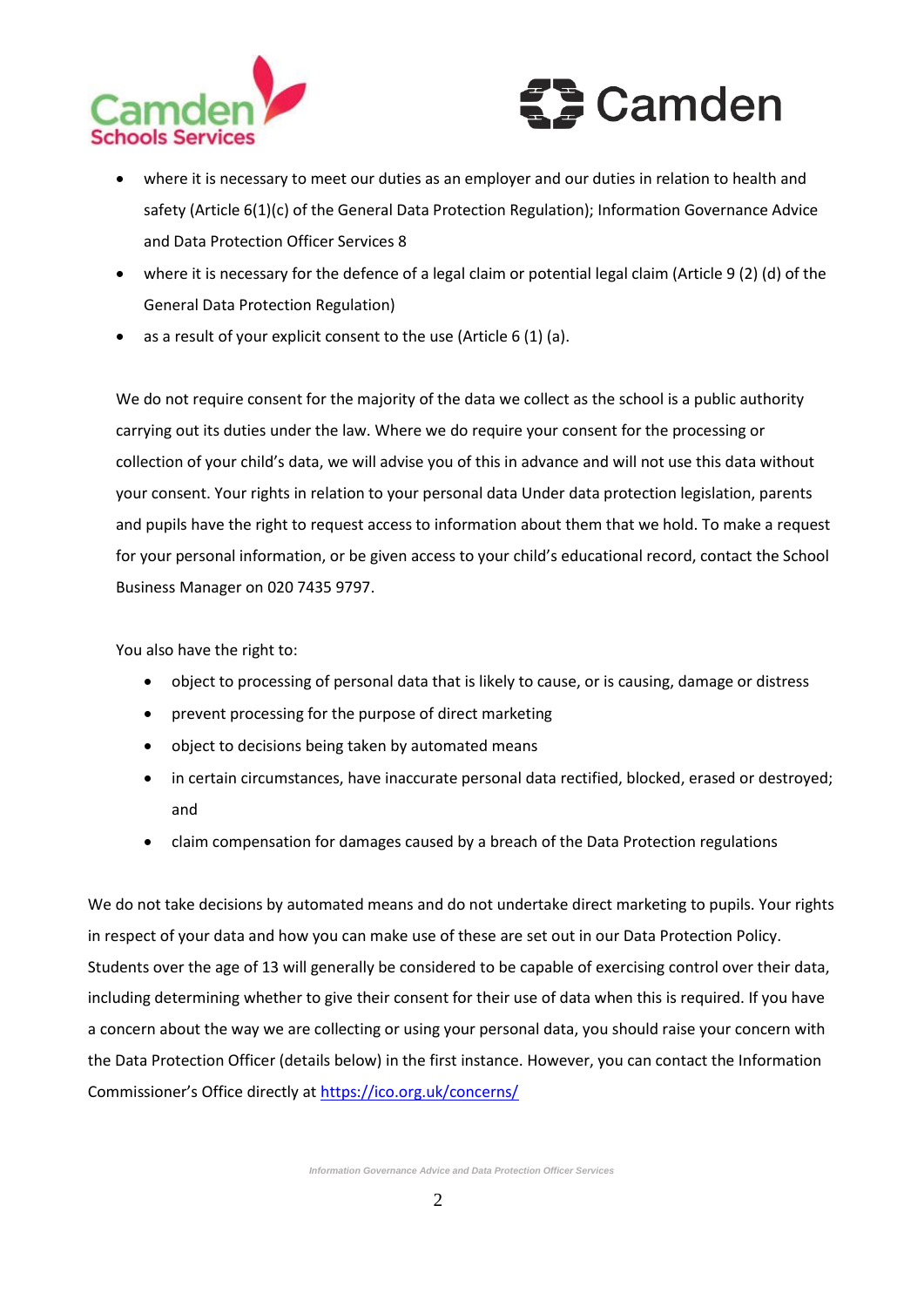



- where it is necessary to meet our duties as an employer and our duties in relation to health and safety (Article 6(1)(c) of the General Data Protection Regulation); Information Governance Advice and Data Protection Officer Services 8
- where it is necessary for the defence of a legal claim or potential legal claim (Article 9 (2) (d) of the General Data Protection Regulation)
- $\bullet$  as a result of your explicit consent to the use (Article 6 (1) (a).

We do not require consent for the majority of the data we collect as the school is a public authority carrying out its duties under the law. Where we do require your consent for the processing or collection of your child's data, we will advise you of this in advance and will not use this data without your consent. Your rights in relation to your personal data Under data protection legislation, parents and pupils have the right to request access to information about them that we hold. To make a request for your personal information, or be given access to your child's educational record, contact the School Business Manager on 020 7435 9797.

You also have the right to:

- object to processing of personal data that is likely to cause, or is causing, damage or distress
- prevent processing for the purpose of direct marketing
- object to decisions being taken by automated means
- in certain circumstances, have inaccurate personal data rectified, blocked, erased or destroyed; and
- claim compensation for damages caused by a breach of the Data Protection regulations

We do not take decisions by automated means and do not undertake direct marketing to pupils. Your rights in respect of your data and how you can make use of these are set out in our Data Protection Policy. Students over the age of 13 will generally be considered to be capable of exercising control over their data, including determining whether to give their consent for their use of data when this is required. If you have a concern about the way we are collecting or using your personal data, you should raise your concern with the Data Protection Officer (details below) in the first instance. However, you can contact the Information Commissioner's Office directly at <https://ico.org.uk/concerns/>